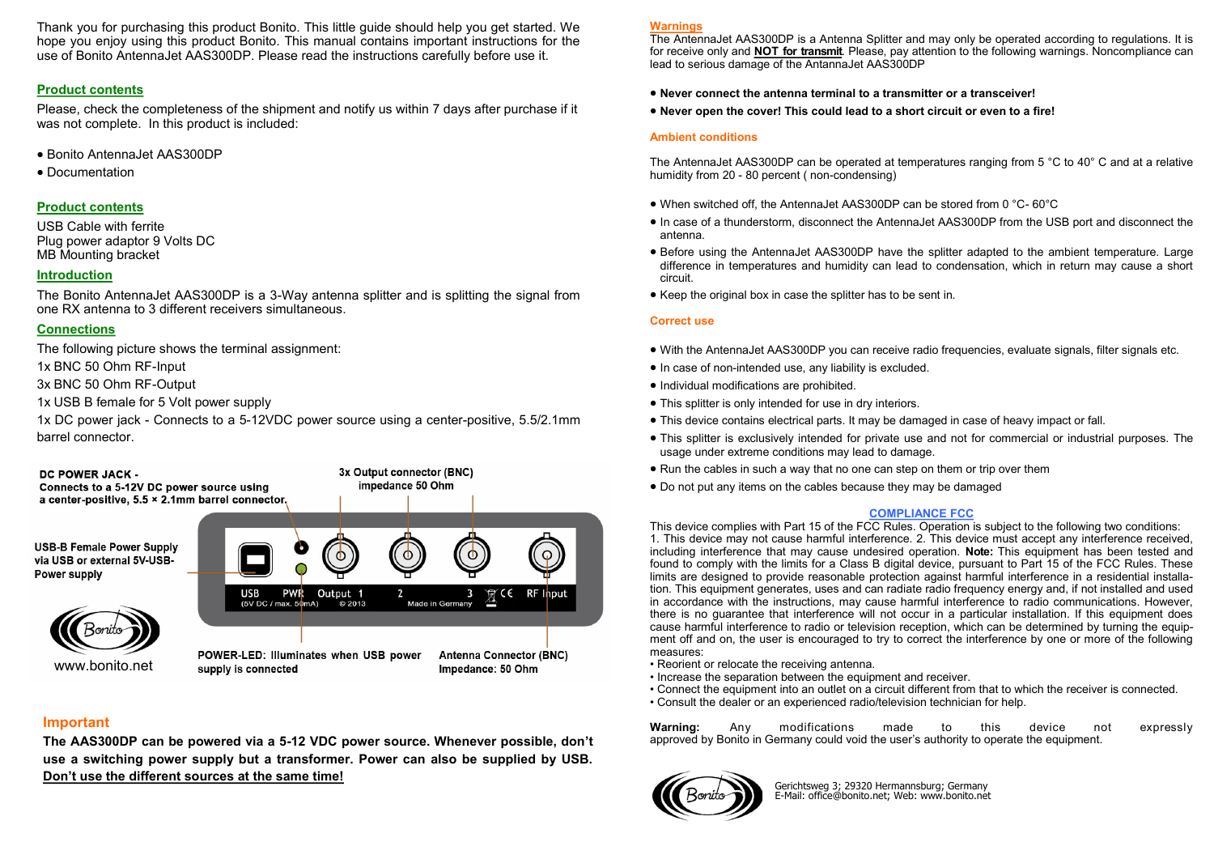Thank you for purchasing this product Bonito. This little guide should help you get started. We hope you enjoy using this product Bonito. This manual contains important instructions for the use of Bonito AntennaJet AAS300DP. Please read the instructions carefully before use it.

### **Product contents**

Please, check the completeness of the shipment and notify us within 7 days after purchase if it was not complete. In this product is included:

- Bonito AntennaJet AAS300DP
- Documentation

### **Product contents**

USB Cable with ferrite Plug power adaptor 9 Volts DC MB Mounting bracket

### **Introduction**

The Bonito AntennaJet AAS300DP is a 3-Way antenna splitter and is splitting the signal from one RX antenna to 3 different receivers simultaneous.

### **Connections**

The following picture shows the terminal assignment:

1x BNC 50 Ohm RF-Input

3x BNC 50 Ohm RF-Output

1x USB B female for 5 Volt power supply

1x DC power jack - Connects to a 5-12VDC power source using a center-positive, 5.5/2.1mm barrel connector.





POWER-LED: Illuminates when USB power supply is connected

**Antenna Connector (BNC)** Impedance: 50 Ohm

 $\Omega$ 

## **Important**

**The AAS300DP can be powered via a 5-12 VDC power source. Whenever possible, don't use a switching power supply but a transformer. Power can also be supplied by USB. Don't use the different sources at the same time!** 

#### **Warnings**

The AntennaJet AAS300DP is a Antenna Splitter and may only be operated according to regulations. It is for receive only and **NOT for transmit**. Please, pay attention to the following warnings. Noncompliance can lead to serious damage of the AntannaJet AAS300DP

- **Never connect the antenna terminal to a transmitter or a transceiver!**
- **Never open the cover! This could lead to a short circuit or even to a fire!**

#### **Ambient conditions**

The AntennaJet AAS300DP can be operated at temperatures ranging from 5 °C to 40° C and at a relative humidity from 20 - 80 percent ( non-condensing)

- When switched off, the AntennaJet AAS300DP can be stored from 0 °C- 60°C
- In case of a thunderstorm, disconnect the AntennaJet AAS300DP from the USB port and disconnect the antenna.
- Before using the AntennaJet AAS300DP have the splitter adapted to the ambient temperature. Large difference in temperatures and humidity can lead to condensation, which in return may cause a short circuit.
- Keep the original box in case the splitter has to be sent in.

#### **Correct use**

- With the AntennaJet AAS300DP you can receive radio frequencies, evaluate signals, filter signals etc.
- $\bullet$  In case of non-intended use, any liability is excluded.
- $\bullet$  Individual modifications are prohibited.
- This splitter is only intended for use in dry interiors.
- This device contains electrical parts. It may be damaged in case of heavy impact or fall.
- This splitter is exclusively intended for private use and not for commercial or industrial purposes. The usage under extreme conditions may lead to damage.
- Run the cables in such a way that no one can step on them or trip over them
- Do not put any items on the cables because they may be damaged

#### **COMPLIANCE FCC**

This device complies with Part 15 of the FCC Rules. Operation is subject to the following two conditions: 1. This device may not cause harmful interference. 2. This device must accept any interference received, including interference that may cause undesired operation. **Note:** This equipment has been tested and found to comply with the limits for a Class B digital device, pursuant to Part 15 of the FCC Rules. These limits are designed to provide reasonable protection against harmful interference in a residential installation. This equipment generates, uses and can radiate radio frequency energy and, if not installed and used in accordance with the instructions, may cause harmful interference to radio communications. However, there is no guarantee that interference will not occur in a particular installation. If this equipment does cause harmful interference to radio or television reception, which can be determined by turning the equipment off and on, the user is encouraged to try to correct the interference by one or more of the following measures:

- Reorient or relocate the receiving antenna.
- Increase the separation between the equipment and receiver.
- Connect the equipment into an outlet on a circuit different from that to which the receiver is connected.
- Consult the dealer or an experienced radio/television technician for help.

**Warning:** Any modifications made to this device not expressly approved by Bonito in Germany could void the user's authority to operate the equipment.



Gerichtsweg 3; 29320 Hermannsburg; Germany E-Mail: office@bonito.net; Web: www.bonito.net